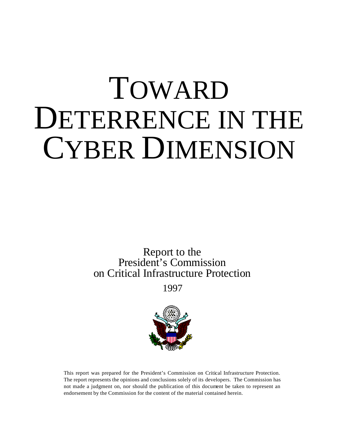# TOWARD DETERRENCE IN THE CYBER DIMENSION

Report to the President's Commission on Critical Infrastructure Protection

1997



This report was prepared for the President's Commission on Critical Infrastructure Protection. The report represents the opinions and conclusions solely of its developers. The Commission has not made a judgment on, nor should the publication of this document be taken to represent an endorsement by the Commission for the content of the material contained herein.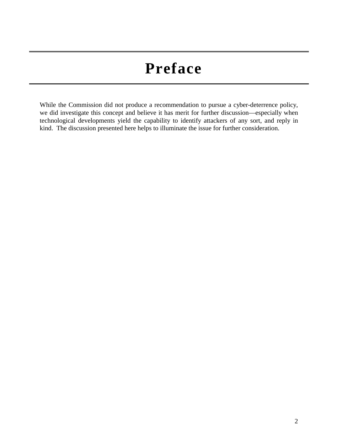# **Preface**

While the Commission did not produce a recommendation to pursue a cyber-deterrence policy, we did investigate this concept and believe it has merit for further discussion—especially when technological developments yield the capability to identify attackers of any sort, and reply in kind. The discussion presented here helps to illuminate the issue for further consideration.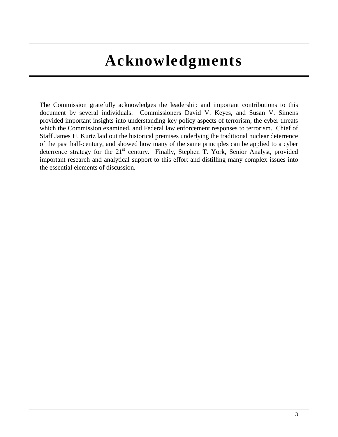# **Acknowledgments**

The Commission gratefully acknowledges the leadership and important contributions to this document by several individuals. Commissioners David V. Keyes, and Susan V. Simens provided important insights into understanding key policy aspects of terrorism, the cyber threats which the Commission examined, and Federal law enforcement responses to terrorism. Chief of Staff James H. Kurtz laid out the historical premises underlying the traditional nuclear deterrence of the past half-century, and showed how many of the same principles can be applied to a cyber deterrence strategy for the  $21<sup>st</sup>$  century. Finally, Stephen T. York, Senior Analyst, provided important research and analytical support to this effort and distilling many complex issues into the essential elements of discussion.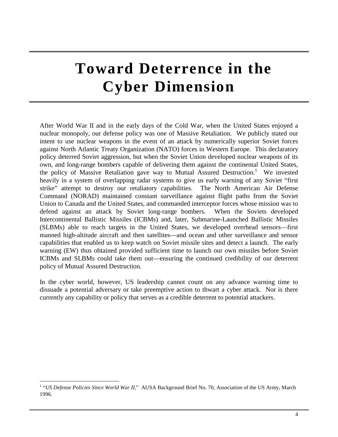# **Toward Deterrence in the Cyber Dimension**

After World War II and in the early days of the Cold War, when the United States enjoyed a nuclear monopoly, our defense policy was one of Massive Retaliation. We publicly stated our intent to use nuclear weapons in the event of an attack by numerically superior Soviet forces against North Atlantic Treaty Organization (NATO) forces in Western Europe. This declaratory policy deterred Soviet aggression, but when the Soviet Union developed nuclear weapons of its own, and long-range bombers capable of delivering them against the continental United States, the policy of Massive Retaliation gave way to Mutual Assured Destruction.<sup>1</sup> We invested heavily in a system of overlapping radar systems to give us early warning of any Soviet "first strike" attempt to destroy our retaliatory capabilities. The North American Air Defense Command (NORAD) maintained constant surveillance against flight paths from the Soviet Union to Canada and the United States, and commanded interceptor forces whose mission was to defend against an attack by Soviet long-range bombers. When the Soviets developed Intercontinental Ballistic Missiles (ICBMs) and, later, Submarine-Launched Ballistic Missiles (SLBMs) able to reach targets in the United States, we developed overhead sensors—first manned high-altitude aircraft and then satellites—and ocean and other surveillance and sensor capabilities that enabled us to keep watch on Soviet missile sites and detect a launch. The early warning (EW) thus obtained provided sufficient time to launch our own missiles before Soviet ICBMs and SLBMs could take them out—ensuring the continued credibility of our deterrent policy of Mutual Assured Destruction.

In the cyber world, however, US leadership cannot count on any advance warning time to dissuade a potential adversary or take preemptive action to thwart a cyber attack. Nor is there currently any capability or policy that serves as a credible deterrent to potential attackers.

 1 "*US Defense Policies Since World War II*," AUSA Background Brief No. 70, Association of the US Army, March 1996.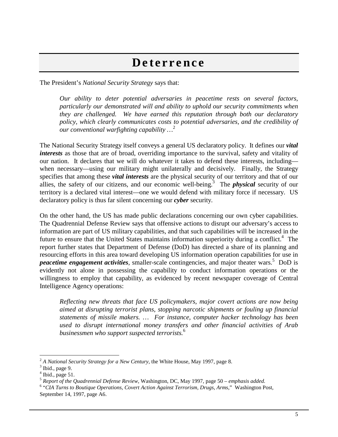## **Deterrence**

The President's *National Security Strategy* says that:

*Our ability to deter potential adversaries in peacetime rests on several factors, particularly our demonstrated will and ability to uphold our security commitments when they are challenged. We have earned this reputation through both our declaratory policy, which clearly communicates costs to potential adversaries, and the credibility of our conventional warfighting capability …*<sup>2</sup>

The National Security Strategy itself conveys a general US declaratory policy. It defines our *vital interests* as those that are of broad, overriding importance to the survival, safety and vitality of our nation. It declares that we will do whatever it takes to defend these interests, including when necessary—using our military might unilaterally and decisively. Finally, the Strategy specifies that among these *vital interests* are the physical security of our territory and that of our allies, the safety of our citizens, and our economic well-being.<sup>3</sup> The *physical* security of our territory is a declared vital interest—one we would defend with military force if necessary. US declaratory policy is thus far silent concerning our *cyber* security.

On the other hand, the US has made public declarations concerning our own cyber capabilities. The Quadrennial Defense Review says that offensive actions to disrupt our adversary's access to information are part of US military capabilities, and that such capabilities will be increased in the future to ensure that the United States maintains information superiority during a conflict.<sup>4</sup> The report further states that Department of Defense (DoD) has directed a share of its planning and resourcing efforts in this area toward developing US information operation capabilities for use in peacetime engagement activities, smaller-scale contingencies, and major theater wars.<sup>5</sup> DoD is evidently not alone in possessing the capability to conduct information operations or the willingness to employ that capability, as evidenced by recent newspaper coverage of Central Intelligence Agency operations:

*Reflecting new threats that face US policymakers, major covert actions are now being aimed at disrupting terrorist plans, stopping narcotic shipments or fouling up financial statements of missile makers. … For instance, computer hacker technology has been used to disrupt international money transfers and other financial activities of Arab businessmen who support suspected terrorists.*<sup>6</sup>

 $\overline{a}$ 

 $2^2$  A National Security Strategy for a New Century, the White House, May 1997, page 8.

 $3$  Ibid., page 9.

 $<sup>4</sup>$  Ibid., page 51.</sup>

<sup>5</sup> *Report of the Quadrennial Defense Review*, Washington, DC, May 1997, page 50 – *emphasis added.*

<sup>6</sup> "*CIA Turns to Boutique Operations, Covert Action Against Terrorism, Drugs, Arms*," Washington Post*,*  September 14, 1997, page A6.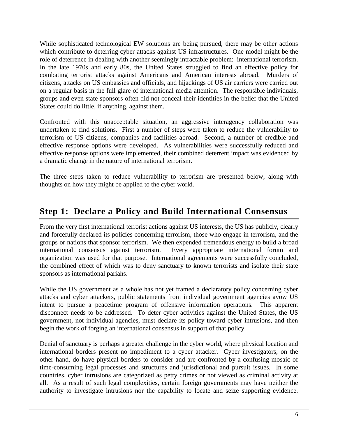While sophisticated technological EW solutions are being pursued, there may be other actions which contribute to deterring cyber attacks against US infrastructures. One model might be the role of deterrence in dealing with another seemingly intractable problem: international terrorism. In the late 1970s and early 80s, the United States struggled to find an effective policy for combating terrorist attacks against Americans and American interests abroad. Murders of citizens, attacks on US embassies and officials, and hijackings of US air carriers were carried out on a regular basis in the full glare of international media attention. The responsible individuals, groups and even state sponsors often did not conceal their identities in the belief that the United States could do little, if anything, against them.

Confronted with this unacceptable situation, an aggressive interagency collaboration was undertaken to find solutions. First a number of steps were taken to reduce the vulnerability to terrorism of US citizens, companies and facilities abroad. Second, a number of credible and effective response options were developed. As vulnerabilities were successfully reduced and effective response options were implemented, their combined deterrent impact was evidenced by a dramatic change in the nature of international terrorism.

The three steps taken to reduce vulnerability to terrorism are presented below, along with thoughts on how they might be applied to the cyber world.

## **Step 1: Declare a Policy and Build International Consensus**

From the very first international terrorist actions against US interests, the US has publicly, clearly and forcefully declared its policies concerning terrorism, those who engage in terrorism, and the groups or nations that sponsor terrorism. We then expended tremendous energy to build a broad international consensus against terrorism. Every appropriate international forum and organization was used for that purpose. International agreements were successfully concluded, the combined effect of which was to deny sanctuary to known terrorists and isolate their state sponsors as international pariahs.

While the US government as a whole has not yet framed a declaratory policy concerning cyber attacks and cyber attackers, public statements from individual government agencies avow US intent to pursue a peacetime program of offensive information operations. This apparent disconnect needs to be addressed. To deter cyber activities against the United States, the US government, not individual agencies, must declare its policy toward cyber intrusions, and then begin the work of forging an international consensus in support of that policy.

Denial of sanctuary is perhaps a greater challenge in the cyber world, where physical location and international borders present no impediment to a cyber attacker. Cyber investigators, on the other hand, do have physical borders to consider and are confronted by a confusing mosaic of time-consuming legal processes and structures and jurisdictional and pursuit issues. In some countries, cyber intrusions are categorized as petty crimes or not viewed as criminal activity at all. As a result of such legal complexities, certain foreign governments may have neither the authority to investigate intrusions nor the capability to locate and seize supporting evidence.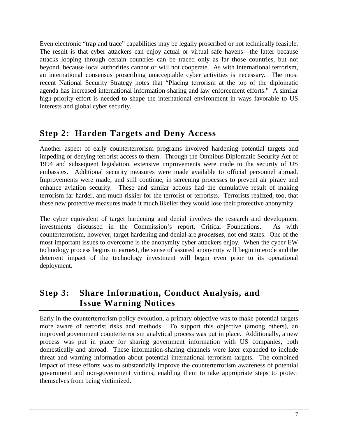Even electronic "trap and trace" capabilities may be legally proscribed or not technically feasible. The result is that cyber attackers can enjoy actual or virtual safe havens—the latter because attacks looping through certain countries can be traced only as far those countries, but not beyond, because local authorities cannot or will not cooperate. As with international terrorism, an international consensus proscribing unacceptable cyber activities is necessary. The most recent National Security Strategy notes that "Placing terrorism at the top of the diplomatic agenda has increased international information sharing and law enforcement efforts." A similar high-priority effort is needed to shape the international environment in ways favorable to US interests and global cyber security.

#### **Step 2: Harden Targets and Deny Access**

Another aspect of early counterterrorism programs involved hardening potential targets and impeding or denying terrorist access to them. Through the Omnibus Diplomatic Security Act of 1994 and subsequent legislation, extensive improvements were made to the security of US embassies. Additional security measures were made available to official personnel abroad. Improvements were made, and still continue, in screening processes to prevent air piracy and enhance aviation security. These and similar actions had the cumulative result of making terrorism far harder, and much riskier for the terrorist or terrorists. Terrorists realized, too, that these new protective measures made it much likelier they would lose their protective anonymity.

The cyber equivalent of target hardening and denial involves the research and development investments discussed in the Commission's report, Critical Foundations. As with counterterrorism, however, target hardening and denial are *processes*, not end states. One of the most important issues to overcome is the anonymity cyber attackers enjoy. When the cyber EW technology process begins in earnest, the sense of assured anonymity will begin to erode and the deterrent impact of the technology investment will begin even prior to its operational deployment.

## **Step 3: Share Information, Conduct Analysis, and Issue Warning Notices**

Early in the counterterrorism policy evolution, a primary objective was to make potential targets more aware of terrorist risks and methods. To support this objective (among others), an improved government counterterrorism analytical process was put in place. Additionally, a new process was put in place for sharing government information with US companies, both domestically and abroad. These information-sharing channels were later expanded to include threat and warning information about potential international terrorism targets. The combined impact of these efforts was to substantially improve the counterterrorism awareness of potential government and non-government victims, enabling them to take appropriate steps to protect themselves from being victimized.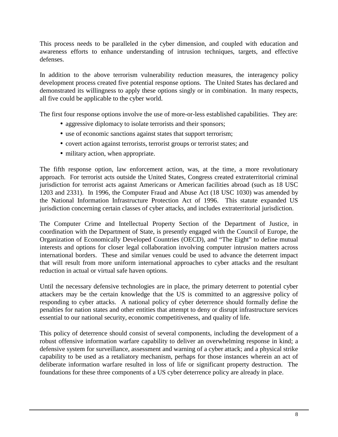This process needs to be paralleled in the cyber dimension, and coupled with education and awareness efforts to enhance understanding of intrusion techniques, targets, and effective defenses.

In addition to the above terrorism vulnerability reduction measures, the interagency policy development process created five potential response options. The United States has declared and demonstrated its willingness to apply these options singly or in combination. In many respects, all five could be applicable to the cyber world.

The first four response options involve the use of more-or-less established capabilities. They are:

- aggressive diplomacy to isolate terrorists and their sponsors;
- use of economic sanctions against states that support terrorism;
- covert action against terrorists, terrorist groups or terrorist states; and
- military action, when appropriate.

The fifth response option, law enforcement action, was, at the time, a more revolutionary approach. For terrorist acts outside the United States, Congress created extraterritorial criminal jurisdiction for terrorist acts against Americans or American facilities abroad (such as 18 USC 1203 and 2331). In 1996, the Computer Fraud and Abuse Act (18 USC 1030) was amended by the National Information Infrastructure Protection Act of 1996. This statute expanded US jurisdiction concerning certain classes of cyber attacks, and includes extraterritorial jurisdiction.

The Computer Crime and Intellectual Property Section of the Department of Justice, in coordination with the Department of State, is presently engaged with the Council of Europe, the Organization of Economically Developed Countries (OECD), and "The Eight" to define mutual interests and options for closer legal collaboration involving computer intrusion matters across international borders. These and similar venues could be used to advance the deterrent impact that will result from more uniform international approaches to cyber attacks and the resultant reduction in actual or virtual safe haven options.

Until the necessary defensive technologies are in place, the primary deterrent to potential cyber attackers may be the certain knowledge that the US is committed to an aggressive policy of responding to cyber attacks. A national policy of cyber deterrence should formally define the penalties for nation states and other entities that attempt to deny or disrupt infrastructure services essential to our national security, economic competitiveness, and quality of life.

This policy of deterrence should consist of several components, including the development of a robust offensive information warfare capability to deliver an overwhelming response in kind; a defensive system for surveillance, assessment and warning of a cyber attack; and a physical strike capability to be used as a retaliatory mechanism, perhaps for those instances wherein an act of deliberate information warfare resulted in loss of life or significant property destruction. The foundations for these three components of a US cyber deterrence policy are already in place.